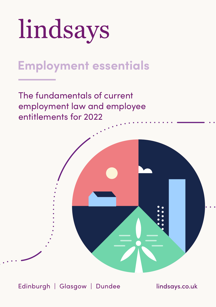

# **Employment essentials**

The fundamentals of current employment law and employee entitlements for 2022



Edinburgh | Glasgow | Dundee lindsays.co.uk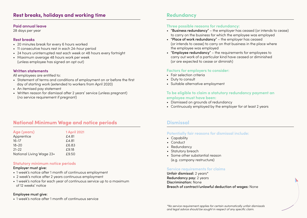# **Rest breaks, holidays and working time**

#### **Paid annual leave**

28 days per year

### **Rest breaks**

- 20 minutes break for every 6 hours worked
- 11 consecutive hours rest in each 24-hour period
- 24 hours uninterrupted rest each week or 48 hours every fortnight
- Maximum average 48 hours work per week (unless employee has signed an opt out)

### **Written statements**

All employees are entitled to:

- Statement of terms and conditions of employment on or before the first day of starting work (extended to workers from April 2020)
- An itemised pay statement
- Written reason for dismissal after 2 years' service (unless pregnant) (no service requirement if pregnant)

# **National Minimum Wage and notice periods**

| Age (years)              | <b>1 April 2021</b> |
|--------------------------|---------------------|
| Apprentice               | £4.81               |
| $16 - 17$                | £4.81               |
| $18 - 20$                | £6.83               |
| $21 - 22$                | £9.18               |
| National Living Wage 23+ | £9.50               |

#### **Statutory minimum notice periods**

#### Employer must give:

- 1 week's notice after 1 month of continuous employment
- 2 week's notice after 2 years continuous employment
- 1 week's notice for each year of continuous service up to a maximum of 12 weeks' notice

#### Employee must give:

• 1 week's notice after 1 month of continuous service

# **Redundancy**

### **Three possible reasons for redundancy:**

- "Business redundancy" the employer has ceased (or intends to cease) to carry on the business for which the employee was employed
- "Place of work redundancy" the employer has ceased (or intends to cease) to carry on that business in the place where the employee was employed
- "Employee redundancy" the requirements for employees to carry out work of a particular kind have ceased or diminished (or are expected to cease or diminish)

### **Factors for employers to consider:**

- Fair selection criteria
- Duty to consult
- Suitable alternative employment

### **To be eligible to claim a statutory redundancy payment an employee must have been:**

- Dismissed on grounds of redundancy
- Continuously employed by the employer for at least 2 years

### **Dismissal**

### **Potentially fair reasons for dismissal include:**

- Capability
- Conduct
- Redundancy
- Statutory breach
- Some other substantial reason (e.g. company restructure)

#### **Service requirements for claims**

Unfair dismissal: 2 years\* Redundancy pay: 2 years Discrimination: None Breach of contract/unlawful deduction of wages: None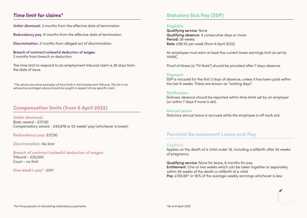# **Time limit for claims\***

**Unfair dismissal:** 3 months from the effective date of termination

**Redundancy pay:** 6 months from the effective date of termination

**Discrimination:** 3 months from alleged act of discrimination

**Breach of contract/unlawful deduction of wages:**  3 months from breach or deduction

The time limit to respond to an employment tribunal claim is 28 days from the date of issue.

*\*The above are some examples of time limits in the Employment Tribunal. This list is not exhaustive and legal advice should be sought in respect of any specific claim.*

# **Compensation limits (from 6 April 2022)**

**Unfair dismissal:**  Basic award - £17,130 Compensatory award - £93,878 or 52 weeks' pay (whichever is lower)

**Redundancy pay:** £17,130

**Discrimination:** No limit

**Breach of contract/unlawful deduction of wages:** Tribunal - £25,000 Court – no limit

**One week's pay\*:** £571

# **Statutory Sick Pay (SSP)**

### **Eligibility**

Qualifying service: None Qualifying absence: 4 consecutive days or more Period: 28 weeks Rate: £99.35 per week (from 6 April 2022)

An employee must earn at least the current lower earnings limit as set by HMRC.

Proof of illness (a "Fit Note") should be provided after 7 days absence.

#### **Payment**

SSP is not paid for the first 3 days of absence, unless it has been paid within the last 8 weeks. These are known as "waiting days".

#### **Notification**

Sickness absence should be reported within time limits set by an employer (or within 7 days if none is set).

**Annual Leave**

Statutory annual leave is accrued while the employee is off work sick.

### **Parental Bereavement Leave and Pay**

#### **Eligibility**

Applies on the death of a child under 18, including a stillbirth after 24 weeks of pregnancy

Qualifying service: None for leave, 6 months for pay Entitlement: One or two weeks which can be taken together or separately within 56 weeks of the death or stillbirth of a child Pay: £156.66<sup>\*</sup> or 90% of the average weekly earnings whichever is less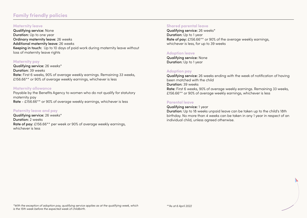# **Family friendly policies**

#### **Maternity leave**

Qualifying service: None Duration: Up to one year Ordinary maternity leave: 26 weeks Additional maternity leave: 26 weeks Keeping in touch: Up to 10 days of paid work during maternity leave without loss of maternity leave rights

#### **Maternity pay**

Qualifying service: 26 weeks\* Duration: 39 weeks Rate: First 6 weeks, 90% of average weekly earnings. Remaining 33 weeks, £156.66<sup>\*\*</sup> or 90% of average weekly earnings, whichever is less

#### **Maternity allowance**

Payable by the Benefits Agency to women who do not qualify for statutory maternity pay Rate - £156.66\*\* or 90% of average weekly earnings, whichever is less

# **Paternity leave and pay**

Qualifying service: 26 weeks\* Duration: 2 weeks Rate of pay: £156.66\*\* per week or 90% of average weekly earnings, whichever is less

### **Shared parental leave**

Qualifying service: 26 weeks\* Duration: Up to 1 year Rate of pay: £156.66<sup>\*\*</sup> or 90% of the average weekly earnings, whichever is less, for up to 39 weeks

### **Adoption leave**

Qualifying service: None Duration: Up to 1 year

### **Adoption pay**

Qualifying service: 26 weeks ending with the week of notification of having been matched with the child Duration: 39 weeks Rate: First 6 weeks, 90% of average weekly earnings. Remaining 33 weeks, £156.66<sup>\*\*</sup> or 90% of average weekly earnings, whichever is less

### **Parental leave**

#### Qualifying service: 1 year

Duration: Up to 18 weeks unpaid leave can be taken up to the child's 18th birthday. No more than 4 weeks can be taken in any 1 year in respect of an individual child, unless agreed otherwise.